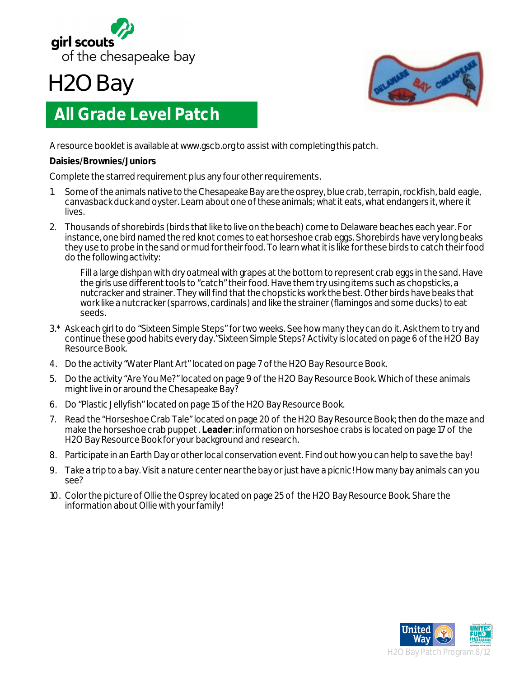

## **H2O Bay**



## **All Grade Level Patch**

A resource booklet is available at www.gscb.org to assist with completing this patch.

## **Daisies/Brownies/Juniors**

Complete the starred requirement plus any four other requirements.

- 1. Some of the animals native to the Chesapeake Bay are the osprey, blue crab, terrapin, rockfish, bald eagle, canvasback duck and oyster. Learn about one of these animals; what it eats, what endangers it, where it lives.
- 2. Thousands of shorebirds (birds that like to live on the beach) come to Delaware beaches each year. For instance, one bird named the red knot comes to eat horseshoe crab eggs. Shorebirds have very long beaks they use to probe in the sand or mud for their food. To learn what it is like for these birds to catch their food do the following activity:

Fill a large dishpan with dry oatmeal with grapes at the bottom to represent crab eggs in the sand. Have the girls use different tools to "catch" their food. Have them try using items such as chopsticks, a nutcracker and strainer. They will find that the chopsticks work the best. Other birds have beaks that work like a nutcracker (sparrows, cardinals) and like the strainer (flamingos and some ducks) to eat seeds.

- 3.\* Ask each girl to do "Sixteen Simple Steps" for two weeks. See how many they can do it. Ask them to try and continue these good habits every day."Sixteen Simple Steps? Activity is located on page 6 of the H2O Bay Resource Book.
- 4. Do the activity "Water Plant Art" located on page 7 of the H2O Bay Resource Book.
- 5. Do the activity "Are You Me?" located on page 9 of the H2O Bay Resource Book. Which of these animals might live in or around the Chesapeake Bay?
- 6. Do "Plastic Jellyfish" located on page 15 of the H2O Bay Resource Book.
- 7. Read the "Horseshoe Crab Tale" located on page 20 of the H2O Bay Resource Book; then do the maze and make the horseshoe crab puppet . **Leader**: information on horseshoe crabs is located on page 17 of the H2O Bay Resource Book for your background and research.
- 8. Participate in an Earth Day or other local conservation event. Find out how you can help to save the bay!
- 9. Take a trip to a bay. Visit a nature center near the bay or just have a picnic! How many bay animals can you see?
- 10. Color the picture of Ollie the Osprey located on page 25 of the H2O Bay Resource Book. Share the information about Ollie with your family!